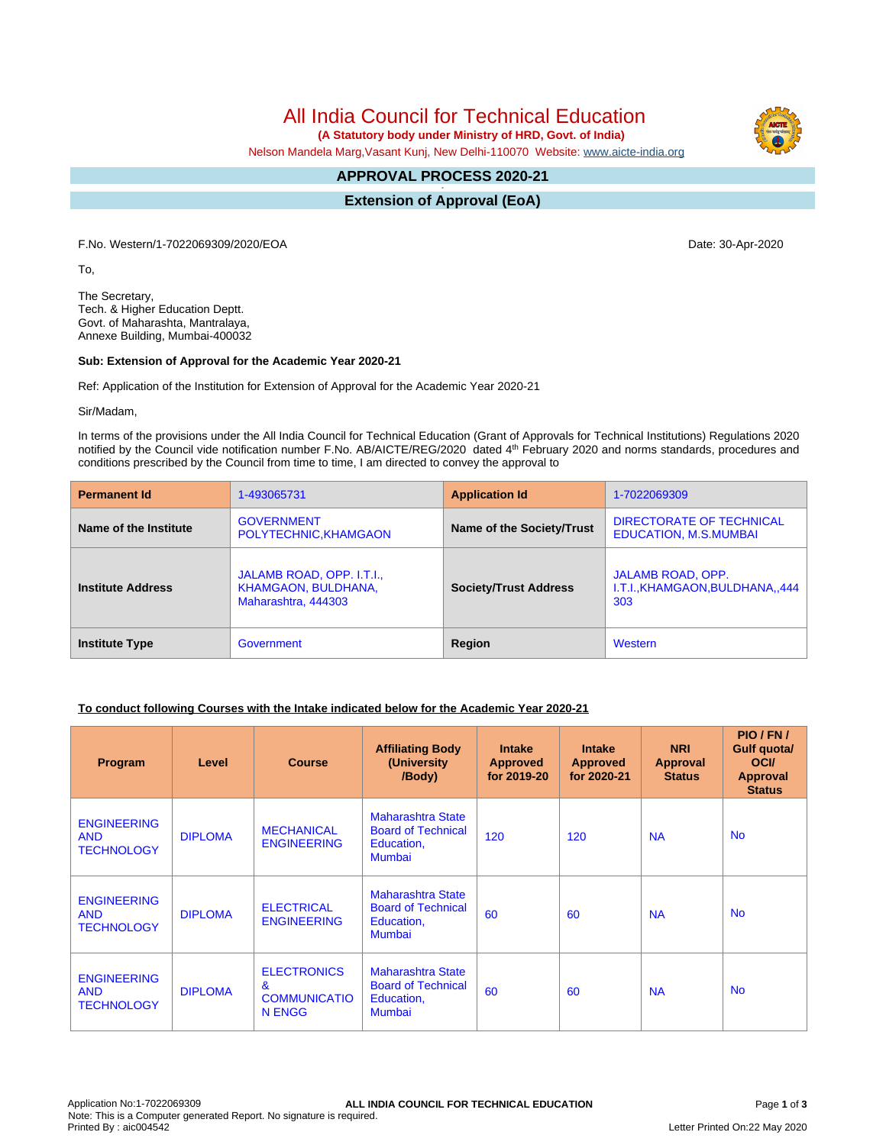All India Council for Technical Education

 **(A Statutory body under Ministry of HRD, Govt. of India)**

Nelson Mandela Marg,Vasant Kunj, New Delhi-110070 Website: [www.aicte-india.org](http://www.aicte-india.org)

#### **APPROVAL PROCESS 2020-21 -**

**Extension of Approval (EoA)**

F.No. Western/1-7022069309/2020/EOA Date: 30-Apr-2020

To,

The Secretary, Tech. & Higher Education Deptt. Govt. of Maharashta, Mantralaya, Annexe Building, Mumbai-400032

#### **Sub: Extension of Approval for the Academic Year 2020-21**

Ref: Application of the Institution for Extension of Approval for the Academic Year 2020-21

Sir/Madam,

In terms of the provisions under the All India Council for Technical Education (Grant of Approvals for Technical Institutions) Regulations 2020 notified by the Council vide notification number F.No. AB/AICTE/REG/2020 dated 4<sup>th</sup> February 2020 and norms standards, procedures and conditions prescribed by the Council from time to time, I am directed to convey the approval to

| <b>Permanent Id</b>      | 1-493065731                                                             | <b>Application Id</b>        | 1-7022069309                                                        |  |
|--------------------------|-------------------------------------------------------------------------|------------------------------|---------------------------------------------------------------------|--|
| Name of the Institute    | <b>GOVERNMENT</b><br>POLYTECHNIC, KHAMGAON                              | Name of the Society/Trust    | DIRECTORATE OF TECHNICAL<br><b>EDUCATION, M.S.MUMBAI</b>            |  |
| <b>Institute Address</b> | JALAMB ROAD, OPP. I.T.I.,<br>KHAMGAON, BULDHANA,<br>Maharashtra, 444303 | <b>Society/Trust Address</b> | <b>JALAMB ROAD, OPP.</b><br>I.T.I., KHAMGAON, BULDHANA,, 444<br>303 |  |
| <b>Institute Type</b>    | Government                                                              | Region                       | Western                                                             |  |

## **To conduct following Courses with the Intake indicated below for the Academic Year 2020-21**

| Program                                               | Level          | <b>Course</b>                                                       | <b>Affiliating Body</b><br>(University)<br>/Body)                                    | <b>Intake</b><br><b>Approved</b><br>for 2019-20 | <b>Intake</b><br><b>Approved</b><br>for 2020-21 | <b>NRI</b><br>Approval<br><b>Status</b> | PIO / FN /<br>Gulf quota/<br><b>OCI</b><br><b>Approval</b><br><b>Status</b> |
|-------------------------------------------------------|----------------|---------------------------------------------------------------------|--------------------------------------------------------------------------------------|-------------------------------------------------|-------------------------------------------------|-----------------------------------------|-----------------------------------------------------------------------------|
| <b>ENGINEERING</b><br><b>AND</b><br><b>TECHNOLOGY</b> | <b>DIPLOMA</b> | <b>MECHANICAL</b><br><b>ENGINEERING</b>                             | Maharashtra State<br><b>Board of Technical</b><br>Education,<br><b>Mumbai</b>        | 120                                             | 120                                             | <b>NA</b>                               | <b>No</b>                                                                   |
| <b>ENGINEERING</b><br><b>AND</b><br><b>TECHNOLOGY</b> | <b>DIPLOMA</b> | <b>ELECTRICAL</b><br><b>ENGINEERING</b>                             | <b>Maharashtra State</b><br><b>Board of Technical</b><br>Education,<br><b>Mumbai</b> | 60                                              | 60                                              | <b>NA</b>                               | <b>No</b>                                                                   |
| <b>ENGINEERING</b><br><b>AND</b><br><b>TECHNOLOGY</b> | <b>DIPLOMA</b> | <b>ELECTRONICS</b><br>$\mathbf{a}$<br><b>COMMUNICATIO</b><br>N ENGG | <b>Maharashtra State</b><br><b>Board of Technical</b><br>Education,<br><b>Mumbai</b> | 60                                              | 60                                              | <b>NA</b>                               | <b>No</b>                                                                   |

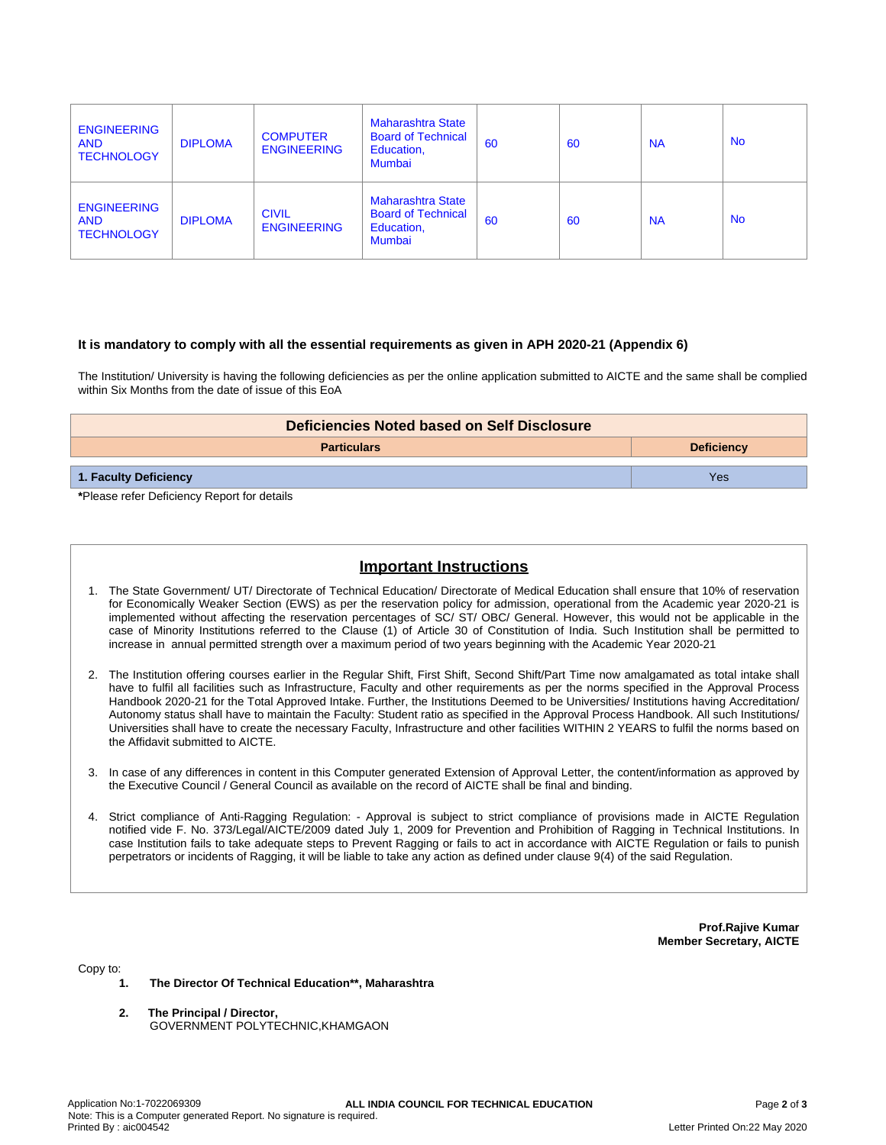| <b>ENGINEERING</b><br><b>AND</b><br><b>TECHNOLOGY</b> | <b>DIPLOMA</b> | <b>COMPUTER</b><br><b>ENGINEERING</b> | <b>Maharashtra State</b><br><b>Board of Technical</b><br>Education,<br><b>Mumbai</b> | 60 | 60 | <b>NA</b> | <b>No</b> |
|-------------------------------------------------------|----------------|---------------------------------------|--------------------------------------------------------------------------------------|----|----|-----------|-----------|
| <b>ENGINEERING</b><br><b>AND</b><br><b>TECHNOLOGY</b> | <b>DIPLOMA</b> | <b>CIVIL</b><br><b>ENGINEERING</b>    | <b>Maharashtra State</b><br><b>Board of Technical</b><br>Education,<br><b>Mumbai</b> | 60 | 60 | <b>NA</b> | <b>No</b> |

### **It is mandatory to comply with all the essential requirements as given in APH 2020-21 (Appendix 6)**

The Institution/ University is having the following deficiencies as per the online application submitted to AICTE and the same shall be complied within Six Months from the date of issue of this EoA

| Deficiencies Noted based on Self Disclosure |                   |  |  |  |
|---------------------------------------------|-------------------|--|--|--|
| <b>Particulars</b>                          | <b>Deficiency</b> |  |  |  |
| 1. Faculty Deficiency                       | Yes               |  |  |  |

**\***Please refer Deficiency Report for details

# **Important Instructions**

- 1. The State Government/ UT/ Directorate of Technical Education/ Directorate of Medical Education shall ensure that 10% of reservation for Economically Weaker Section (EWS) as per the reservation policy for admission, operational from the Academic year 2020-21 is implemented without affecting the reservation percentages of SC/ ST/ OBC/ General. However, this would not be applicable in the case of Minority Institutions referred to the Clause (1) of Article 30 of Constitution of India. Such Institution shall be permitted to increase in annual permitted strength over a maximum period of two years beginning with the Academic Year 2020-21
- 2. The Institution offering courses earlier in the Regular Shift, First Shift, Second Shift/Part Time now amalgamated as total intake shall have to fulfil all facilities such as Infrastructure, Faculty and other requirements as per the norms specified in the Approval Process Handbook 2020-21 for the Total Approved Intake. Further, the Institutions Deemed to be Universities/ Institutions having Accreditation/ Autonomy status shall have to maintain the Faculty: Student ratio as specified in the Approval Process Handbook. All such Institutions/ Universities shall have to create the necessary Faculty, Infrastructure and other facilities WITHIN 2 YEARS to fulfil the norms based on the Affidavit submitted to AICTE.
- 3. In case of any differences in content in this Computer generated Extension of Approval Letter, the content/information as approved by the Executive Council / General Council as available on the record of AICTE shall be final and binding.
- 4. Strict compliance of Anti-Ragging Regulation: Approval is subject to strict compliance of provisions made in AICTE Regulation notified vide F. No. 373/Legal/AICTE/2009 dated July 1, 2009 for Prevention and Prohibition of Ragging in Technical Institutions. In case Institution fails to take adequate steps to Prevent Ragging or fails to act in accordance with AICTE Regulation or fails to punish perpetrators or incidents of Ragging, it will be liable to take any action as defined under clause 9(4) of the said Regulation.

**Prof.Rajive Kumar Member Secretary, AICTE**

Copy to:

- **1. The Director Of Technical Education\*\*, Maharashtra**
- **2. The Principal / Director,** GOVERNMENT POLYTECHNIC,KHAMGAON